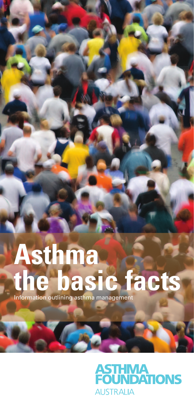# **Asthma the basic facts** Information outlining asthma management

# **ASTHMA<br>FOUNDATIONS AUSTRALIA**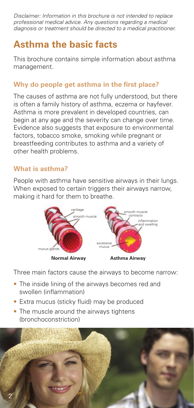*Disclaimer: Information in this brochure is not intended to replace professional medical advice. Any questions regarding a medical diagnosis or treatment should be directed to a medical practitioner.* 

# **Asthma the basic facts**

This brochure contains simple information about asthma management.

#### **Why do people get asthma in the first place?**

The causes of asthma are not fully understood, but there is often a family history of asthma, eczema or hayfever. Asthma is more prevalent in developed countries, can begin at any age and the severity can change over time. Evidence also suggests that exposure to environmental factors, tobacco smoke, smoking while pregnant or breastfeeding contributes to asthma and a variety of other health problems.

#### **What is asthma?**

People with asthma have sensitive airways in their lungs. When exposed to certain triggers their airways narrow. making it hard for them to breathe.



Three main factors cause the airways to become narrow:

- The inside lining of the airways becomes red and swollen (inflammation)
- Extra mucus (sticky fluid) may be produced
- The muscle around the airways tightens (bronchoconstriction)

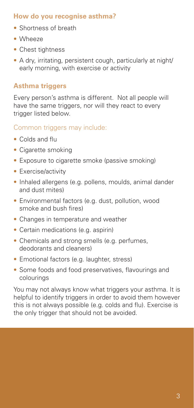#### **How do you recognise asthma?**

- • Shortness of breath
- Wheeze
- Chest tightness
- A dry, irritating, persistent cough, particularly at night/ early morning, with exercise or activity

# **Asthma triggers**

Every person's asthma is different. Not all people will have the same triggers, nor will they react to every trigger listed below.

# Common triggers may include:

- Colds and flu
- Cigarette smoking
- Exposure to cigarette smoke (passive smoking)
- Exercise/activity
- Inhaled allergens (e.g. pollens, moulds, animal dander and dust mites)
- Environmental factors (e.g. dust, pollution, wood smoke and bush fires)
- Changes in temperature and weather
- Certain medications (e.g. aspirin)
- Chemicals and strong smells (e.g. perfumes, deodorants and cleaners)
- Emotional factors (e.g. laughter, stress)
- Some foods and food preservatives, flavourings and colourings

You may not always know what triggers your asthma. It is helpful to identify triggers in order to avoid them however this is not always possible (e.g. colds and flu). Exercise is the only trigger that should not be avoided.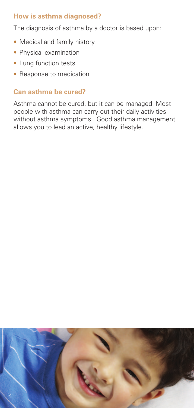#### **How is asthma diagnosed?**

The diagnosis of asthma by a doctor is based upon:

- Medical and family history
- Physical examination
- Lung function tests
- Response to medication

## **Can asthma be cured?**

Asthma cannot be cured, but it can be managed. Most people with asthma can carry out their daily activities without asthma symptoms. Good asthma management allows you to lead an active, healthy lifestyle.

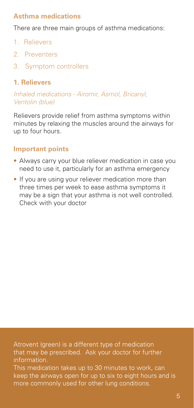#### **Asthma medications**

There are three main groups of asthma medications:

- 1. Relievers
- 2. Preventers
- 3. Symptom controllers

#### **1. Relievers**

*Inhaled medications - Airomir, Asmol, Bricanyl, Ventolin (blue)*

Relievers provide relief from asthma symptoms within minutes by relaxing the muscles around the airways for up to four hours.

## **Important points**

- Always carry your blue reliever medication in case you need to use it, particularly for an asthma emergency
- If you are using your reliever medication more than three times per week to ease asthma symptoms it may be a sign that your asthma is not well controlled. Check with your doctor

Atrovent (green) is a different type of medication that may be prescribed. Ask your doctor for further information. This medication takes up to 30 minutes to work, can keep the airways open for up to six to eight hours and is more commonly used for other lung conditions.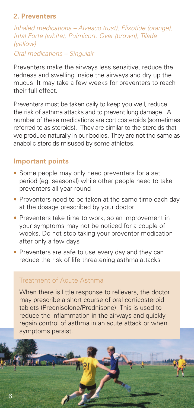#### **2. Preventers**

*Inhaled medications – Alvesco (rust), Flixotide (orange), Intal Forte (white), Pulmicort, Qvar (brown), Tilade (yellow) Oral medications – Singulair* 

Preventers make the airways less sensitive, reduce the redness and swelling inside the airways and dry up the mucus. It may take a few weeks for preventers to reach their full effect.

Preventers must be taken daily to keep you well, reduce the risk of asthma attacks and to prevent lung damage. A number of these medications are corticosteroids (sometimes referred to as steroids). They are similar to the steroids that we produce naturally in our bodies. They are not the same as anabolic steroids misused by some athletes.

#### **Important points**

- Some people may only need preventers for a set period (eg. seasonal) while other people need to take preventers all year round
- Preventers need to be taken at the same time each day at the dosage prescribed by your doctor
- Preventers take time to work, so an improvement in your symptoms may not be noticed for a couple of weeks. Do not stop taking your preventer medication after only a few days
- Preventers are safe to use every day and they can reduce the risk of life threatening asthma attacks

#### Treatment of Acute Asthma

When there is little response to relievers, the doctor may prescribe a short course of oral corticosteroid tablets (Prednisolone/Prednisone). This is used to reduce the inflammation in the airways and quickly regain control of asthma in an acute attack or when symptoms persist.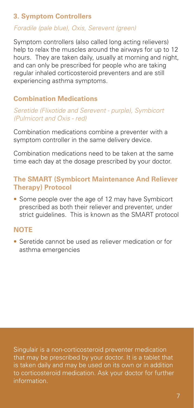#### **3. Symptom Controllers**

#### *Foradile (pale blue), Oxis, Serevent (green)*

Symptom controllers (also called long acting relievers) help to relax the muscles around the airways for up to 12 hours. They are taken daily, usually at morning and night, and can only be prescribed for people who are taking regular inhaled corticosteroid preventers and are still experiencing asthma symptoms.

#### **Combination Medications**

#### *Seretide (Flixotide and Serevent - purple), Symbicort (Pulmicort and Oxis - red)*

Combination medications combine a preventer with a symptom controller in the same delivery device.

Combination medications need to be taken at the same time each day at the dosage prescribed by your doctor.

#### **The SMART (Symbicort Maintenance And Reliever Therapy) Protocol**

• Some people over the age of 12 may have Symbicort prescribed as both their reliever and preventer, under strict guidelines. This is known as the SMART protocol

#### **NOTE**

• Seretide cannot be used as reliever medication or for asthma emergencies

Singulair is a non-corticosteroid preventer medication that may be prescribed by your doctor. It is a tablet that is taken daily and may be used on its own or in addition to corticosteroid medication. Ask your doctor for further information.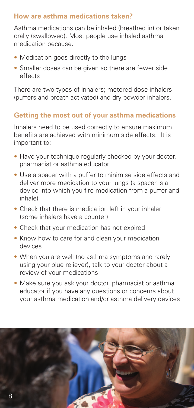#### **How are asthma medications taken?**

Asthma medications can be inhaled (breathed in) or taken orally (swallowed). Most people use inhaled asthma medication because:

- Medication goes directly to the lungs
- Smaller doses can be given so there are fewer side effects

There are two types of inhalers; metered dose inhalers (puffers and breath activated) and dry powder inhalers.

#### **Getting the most out of your asthma medications**

Inhalers need to be used correctly to ensure maximum benefits are achieved with minimum side effects. It is important to:

- Have your technique regularly checked by your doctor, pharmacist or asthma educator
- Use a spacer with a puffer to minimise side effects and deliver more medication to your lungs (a spacer is a device into which you fire medication from a puffer and inhale)
- Check that there is medication left in your inhaler (some inhalers have a counter)
- Check that your medication has not expired
- Know how to care for and clean your medication devices
- When you are well (no asthma symptoms and rarely using your blue reliever), talk to your doctor about a review of your medications
- Make sure you ask your doctor, pharmacist or asthma educator if you have any questions or concerns about your asthma medication and/or asthma delivery devices

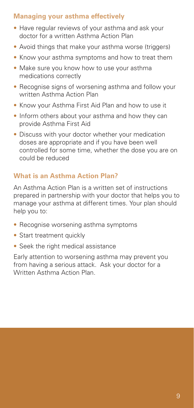#### **Managing your asthma effectively**

- Have regular reviews of your asthma and ask your doctor for a written Asthma Action Plan
- Avoid things that make your asthma worse (triggers)
- Know your asthma symptoms and how to treat them
- Make sure you know how to use your asthma medications correctly
- Recognise signs of worsening asthma and follow your written Asthma Action Plan
- Know your Asthma First Aid Plan and how to use it
- Inform others about your asthma and how they can provide Asthma First Aid
- Discuss with your doctor whether your medication doses are appropriate and if you have been well controlled for some time, whether the dose you are on could be reduced

#### **What is an Asthma Action Plan?**

An Asthma Action Plan is a written set of instructions prepared in partnership with your doctor that helps you to manage your asthma at different times. Your plan should help you to:

- Recognise worsening asthma symptoms
- Start treatment quickly
- Seek the right medical assistance

Early attention to worsening asthma may prevent you from having a serious attack. Ask your doctor for a Written Asthma Action Plan.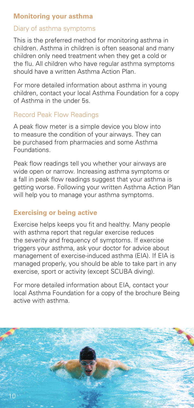#### **Monitoring your asthma**

## Diary of asthma symptoms

This is the preferred method for monitoring asthma in children. Asthma in children is often seasonal and many children only need treatment when they get a cold or the flu. All children who have regular asthma symptoms should have a written Asthma Action Plan.

For more detailed information about asthma in young children, contact your local Asthma Foundation for a copy of Asthma in the under 5s.

## Record Peak Flow Readings

A peak flow meter is a simple device you blow into to measure the condition of your airways. They can be purchased from pharmacies and some Asthma Foundations.

Peak flow readings tell you whether your airways are wide open or narrow. Increasing asthma symptoms or a fall in peak flow readings suggest that your asthma is getting worse. Following your written Asthma Action Plan will help you to manage your asthma symptoms.

# **Exercising or being active**

Exercise helps keeps you fit and healthy. Many people with asthma report that regular exercise reduces the severity and frequency of symptoms. If exercise triggers your asthma, ask your doctor for advice about management of exercise-induced asthma (EIA). If EIA is managed properly, you should be able to take part in any exercise, sport or activity (except SCUBA diving).

For more detailed information about EIA, contact your local Asthma Foundation for a copy of the brochure Being active with asthma.

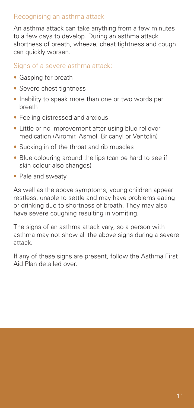## Recognising an asthma attack

An asthma attack can take anything from a few minutes to a few days to develop. During an asthma attack shortness of breath, wheeze, chest tightness and cough can quickly worsen.

#### Signs of a severe asthma attack:

- • Gasping for breath
- Severe chest tightness
- Inability to speak more than one or two words per breath
- Feeling distressed and anxious
- Little or no improvement after using blue reliever medication (Airomir, Asmol, Bricanyl or Ventolin)
- Sucking in of the throat and rib muscles
- Blue colouring around the lips (can be hard to see if skin colour also changes)
- Pale and sweaty

As well as the above symptoms, young children appear restless, unable to settle and may have problems eating or drinking due to shortness of breath. They may also have severe coughing resulting in vomiting.

The signs of an asthma attack vary, so a person with asthma may not show all the above signs during a severe attack.

If any of these signs are present, follow the Asthma First Aid Plan detailed over.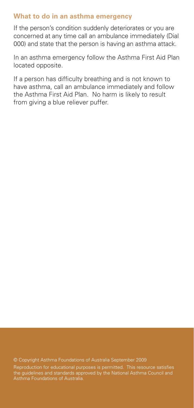#### **What to do in an asthma emergency**

If the person's condition suddenly deteriorates or you are concerned at any time call an ambulance immediately (Dial 000) and state that the person is having an asthma attack.

In an asthma emergency follow the Asthma First Aid Plan located opposite.

If a person has difficulty breathing and is not known to have asthma, call an ambulance immediately and follow the Asthma First Aid Plan. No harm is likely to result from giving a blue reliever puffer.

© Copyright Asthma Foundations of Australia September 2009 Reproduction for educational purposes is permitted. This resource satisfies the guidelines and standards approved by the National Asthma Council and Asthma Foundations of Australia.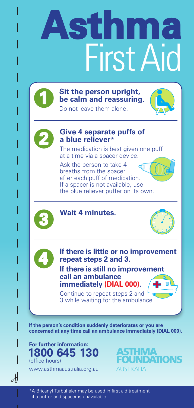# **Asthma** First Aid



**Sit the person upright, be calm and reassuring.** 



Do not leave them alone.



#### **2 Give 4 separate puffs of a blue reliever\***

The medication is best given one puff at a time via a spacer device.

Ask the person to take 4 breaths from the spacer after each puff of medication. If a spacer is not available, use the blue reliever puffer on its own.



#### **Wait 4 minutes.**





**If there is little or no improvement repeat steps 2 and 3.**

**If there is still no improvement call an ambulance immediately (DIAL 000).**

Continue to repeat steps 2 and 3 while waiting for the ambulance.

**If the person's condition suddenly deteriorates or you are concerned at any time call an ambulance immediately (DIAL 000).**



www.asthmaaustralia.org.au

 $\mathcal{A}$